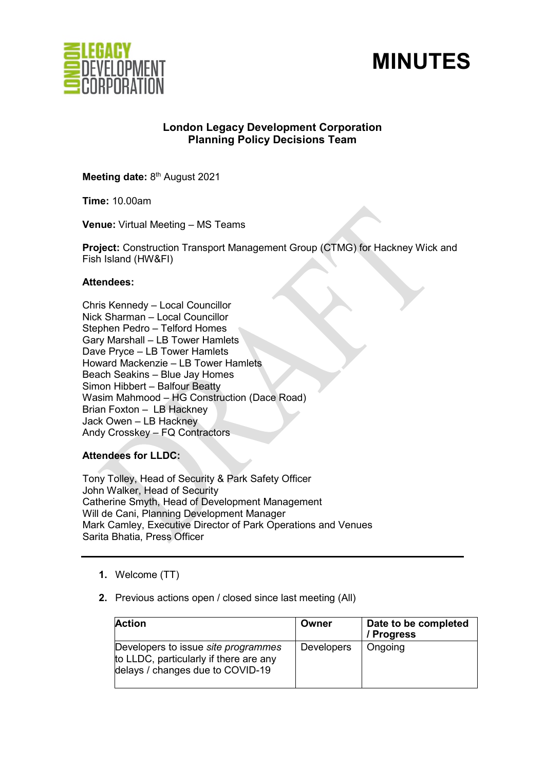



# **London Legacy Development Corporation Planning Policy Decisions Team**

**Meeting date: 8<sup>th</sup> August 2021** 

**Time:** 10.00am

**Venue:** Virtual Meeting – MS Teams

**Project:** Construction Transport Management Group (CTMG) for Hackney Wick and Fish Island (HW&FI)

#### **Attendees:**

Chris Kennedy – Local Councillor Nick Sharman – Local Councillor Stephen Pedro – Telford Homes Gary Marshall – LB Tower Hamlets Dave Pryce – LB Tower Hamlets Howard Mackenzie – LB Tower Hamlets Beach Seakins – Blue Jay Homes Simon Hibbert – Balfour Beatty Wasim Mahmood – HG Construction (Dace Road) Brian Foxton – LB Hackney Jack Owen – LB Hackney Andy Crosskey – FQ Contractors

**Attendees for LLDC:** 

Tony Tolley, Head of Security & Park Safety Officer John Walker, Head of Security Catherine Smyth, Head of Development Management Will de Cani, Planning Development Manager Mark Camley, Executive Director of Park Operations and Venues Sarita Bhatia, Press Officer

- **1.** Welcome (TT)
- **2.** Previous actions open / closed since last meeting (All)

| <b>Action</b>                                                                                                            | Owner             | Date to be completed<br>/ Progress |
|--------------------------------------------------------------------------------------------------------------------------|-------------------|------------------------------------|
| Developers to issue <i>site programmes</i><br>to LLDC, particularly if there are any<br>delays / changes due to COVID-19 | <b>Developers</b> | Ongoing                            |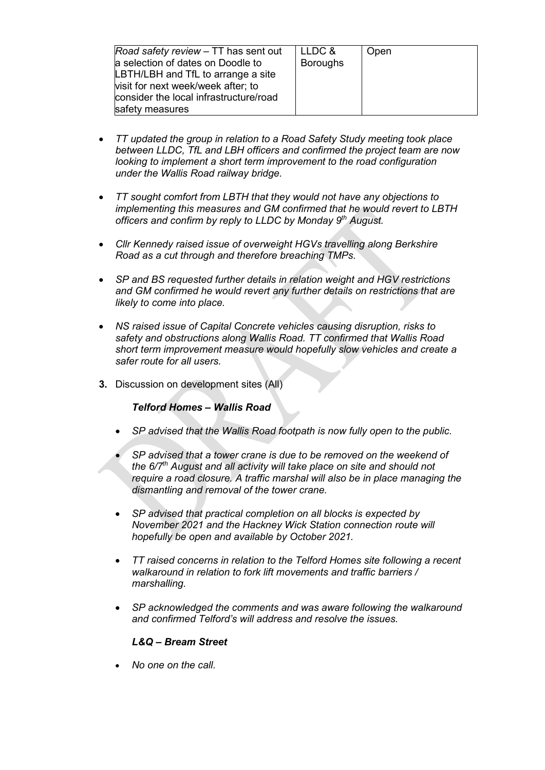| Road safety review – TT has sent out<br>a selection of dates on Doodle to<br>LBTH/LBH and TfL to arrange a site<br>visit for next week/week after; to<br>consider the local infrastructure/road<br>safety measures | LLDC &<br><b>Boroughs</b> | Open |
|--------------------------------------------------------------------------------------------------------------------------------------------------------------------------------------------------------------------|---------------------------|------|
|--------------------------------------------------------------------------------------------------------------------------------------------------------------------------------------------------------------------|---------------------------|------|

- *TT updated the group in relation to a Road Safety Study meeting took place between LLDC, TfL and LBH officers and confirmed the project team are now looking to implement a short term improvement to the road configuration under the Wallis Road railway bridge.*
- *TT sought comfort from LBTH that they would not have any objections to implementing this measures and GM confirmed that he would revert to LBTH officers and confirm by reply to LLDC by Monday 9th August.*
- *Cllr Kennedy raised issue of overweight HGVs travelling along Berkshire Road as a cut through and therefore breaching TMPs.*
- *SP and BS requested further details in relation weight and HGV restrictions and GM confirmed he would revert any further details on restrictions that are likely to come into place.*
- *NS raised issue of Capital Concrete vehicles causing disruption, risks to safety and obstructions along Wallis Road. TT confirmed that Wallis Road short term improvement measure would hopefully slow vehicles and create a safer route for all users.*
- **3.** Discussion on development sites (All)

## *Telford Homes – Wallis Road*

- *SP advised that the Wallis Road footpath is now fully open to the public.*
- *SP advised that a tower crane is due to be removed on the weekend of the 6/7th August and all activity will take place on site and should not require a road closure. A traffic marshal will also be in place managing the dismantling and removal of the tower crane.*
- *SP advised that practical completion on all blocks is expected by November 2021 and the Hackney Wick Station connection route will hopefully be open and available by October 2021.*
- *TT raised concerns in relation to the Telford Homes site following a recent walkaround in relation to fork lift movements and traffic barriers / marshalling.*
- *SP acknowledged the comments and was aware following the walkaround and confirmed Telford's will address and resolve the issues.*

#### *L&Q – Bream Street*

• *No one on the call.*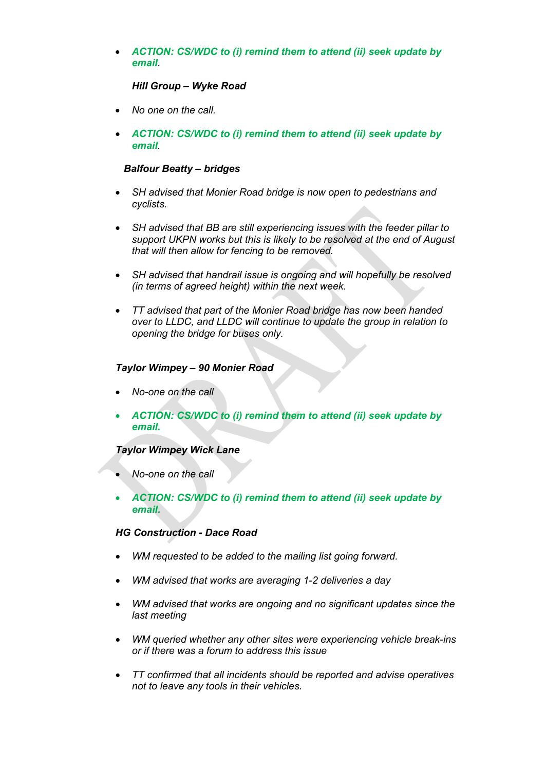• *ACTION: CS/WDC to (i) remind them to attend (ii) seek update by email.* 

#### *Hill Group – Wyke Road*

- *No one on the call.*
- *ACTION: CS/WDC to (i) remind them to attend (ii) seek update by email.*

#### *Balfour Beatty – bridges*

- *SH advised that Monier Road bridge is now open to pedestrians and cyclists.*
- *SH advised that BB are still experiencing issues with the feeder pillar to support UKPN works but this is likely to be resolved at the end of August that will then allow for fencing to be removed.*
- *SH advised that handrail issue is ongoing and will hopefully be resolved (in terms of agreed height) within the next week.*
- *TT advised that part of the Monier Road bridge has now been handed over to LLDC, and LLDC will continue to update the group in relation to opening the bridge for buses only.*

## *Taylor Wimpey – 90 Monier Road*

- *No-one on the call*
- *ACTION: CS/WDC to (i) remind them to attend (ii) seek update by email.*

## *Taylor Wimpey Wick Lane*

- *No-one on the call*
- *ACTION: CS/WDC to (i) remind them to attend (ii) seek update by email.*

# *HG Construction - Dace Road*

- *WM requested to be added to the mailing list going forward.*
- *WM advised that works are averaging 1-2 deliveries a day*
- *WM advised that works are ongoing and no significant updates since the last meeting*
- *WM queried whether any other sites were experiencing vehicle break-ins or if there was a forum to address this issue*
- *TT confirmed that all incidents should be reported and advise operatives not to leave any tools in their vehicles.*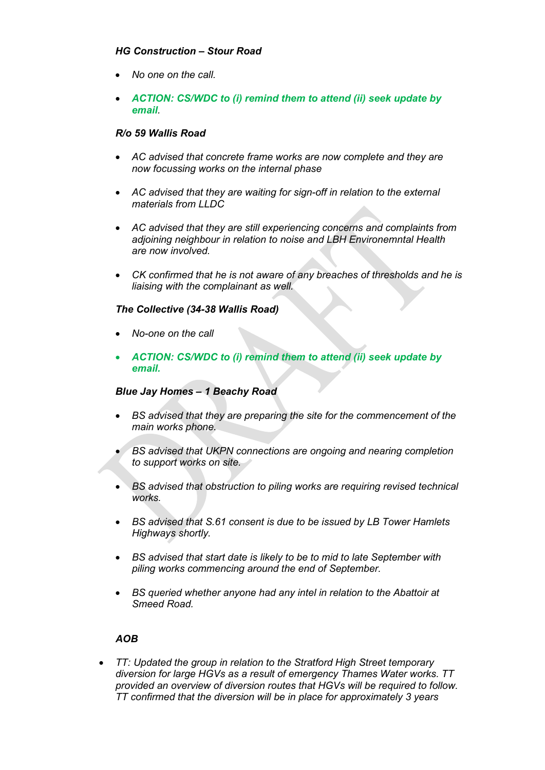# *HG Construction – Stour Road*

- *No one on the call.*
- *ACTION: CS/WDC to (i) remind them to attend (ii) seek update by email.*

## *R/o 59 Wallis Road*

- *AC advised that concrete frame works are now complete and they are now focussing works on the internal phase*
- *AC advised that they are waiting for sign-off in relation to the external materials from LLDC*
- *AC advised that they are still experiencing concerns and complaints from adjoining neighbour in relation to noise and LBH Environemntal Health are now involved.*
- *CK confirmed that he is not aware of any breaches of thresholds and he is liaising with the complainant as well.*

## *The Collective (34-38 Wallis Road)*

- *No-one on the call*
- *ACTION: CS/WDC to (i) remind them to attend (ii) seek update by email.*

## *Blue Jay Homes – 1 Beachy Road*

- *BS advised that they are preparing the site for the commencement of the main works phone.*
- *BS advised that UKPN connections are ongoing and nearing completion to support works on site.*
- *BS advised that obstruction to piling works are requiring revised technical works.*
- *BS advised that S.61 consent is due to be issued by LB Tower Hamlets Highways shortly.*
- *BS advised that start date is likely to be to mid to late September with piling works commencing around the end of September.*
- *BS queried whether anyone had any intel in relation to the Abattoir at Smeed Road.*

## *AOB*

• *TT: Updated the group in relation to the Stratford High Street temporary diversion for large HGVs as a result of emergency Thames Water works. TT provided an overview of diversion routes that HGVs will be required to follow. TT confirmed that the diversion will be in place for approximately 3 years*